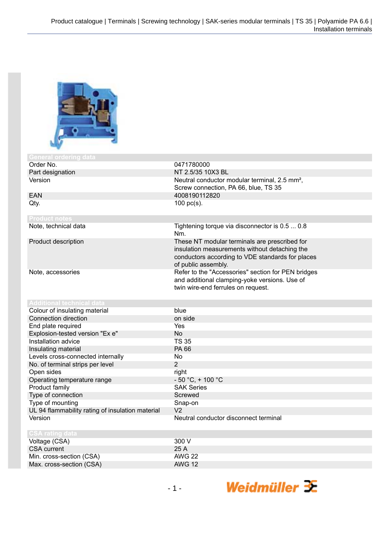

| General ordering data                            |                                                           |
|--------------------------------------------------|-----------------------------------------------------------|
| Order No.                                        | 0471780000                                                |
| Part designation                                 | NT 2.5/35 10X3 BL                                         |
| Version                                          | Neutral conductor modular terminal, 2.5 mm <sup>2</sup> , |
|                                                  | Screw connection, PA 66, blue, TS 35                      |
| <b>EAN</b>                                       | 4008190112820                                             |
| Qty.                                             | $100$ pc(s).                                              |
|                                                  |                                                           |
| <b>Product notes</b>                             |                                                           |
| Note, technical data                             | Tightening torque via disconnector is 0.5  0.8            |
|                                                  | Nm.                                                       |
| Product description                              | These NT modular terminals are prescribed for             |
|                                                  | insulation measurements without detaching the             |
|                                                  | conductors according to VDE standards for places          |
|                                                  | of public assembly.                                       |
| Note, accessories                                | Refer to the "Accessories" section for PEN bridges        |
|                                                  | and additional clamping-yoke versions. Use of             |
|                                                  | twin wire-end ferrules on request.                        |
|                                                  |                                                           |
| <b>Additional technical data</b>                 |                                                           |
| Colour of insulating material                    | blue                                                      |
| Connection direction                             | on side                                                   |
| End plate required                               | <b>Yes</b>                                                |
| Explosion-tested version "Ex e"                  | <b>No</b>                                                 |
| Installation advice                              | <b>TS 35</b>                                              |
| Insulating material                              | PA 66                                                     |
| Levels cross-connected internally                | No                                                        |
| No. of terminal strips per level                 | $\overline{2}$                                            |
| Open sides                                       | right                                                     |
| Operating temperature range                      | $-50 °C$ , + 100 °C                                       |
| Product family                                   | <b>SAK Series</b>                                         |
| Type of connection                               | Screwed                                                   |
| Type of mounting                                 | Snap-on                                                   |
| UL 94 flammability rating of insulation material | V <sub>2</sub>                                            |
| Version                                          | Neutral conductor disconnect terminal                     |
|                                                  |                                                           |
| <b>CSA rating data</b>                           |                                                           |
| Voltage (CSA)                                    | 300 V                                                     |
| <b>CSA</b> current                               | 25 A                                                      |
| Min. cross-section (CSA)                         | <b>AWG 22</b>                                             |
| Max. cross-section (CSA)                         | <b>AWG 12</b>                                             |

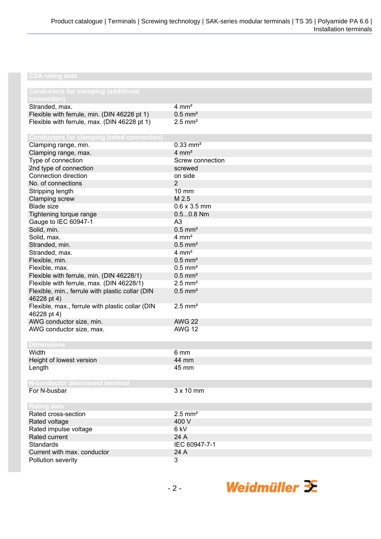## **CSA rating data**

| <b>Conductors for clamping (additional</b><br>connection)       |                        |
|-----------------------------------------------------------------|------------------------|
| Stranded, max.                                                  | $4 \, \text{mm}^2$     |
| Flexible with ferrule, min. (DIN 46228 pt 1)                    | $0.5$ mm <sup>2</sup>  |
| Flexible with ferrule, max. (DIN 46228 pt 1)                    | $2.5$ mm <sup>2</sup>  |
|                                                                 |                        |
| <b>Conductors for clamping (rated connection)</b>               |                        |
| Clamping range, min.                                            | $0.33$ mm <sup>2</sup> |
| Clamping range, max.                                            | $4 \, \text{mm}^2$     |
| Type of connection                                              | Screw connection       |
| 2nd type of connection                                          | screwed                |
| Connection direction                                            | on side                |
| No. of connections                                              | $\overline{2}$         |
| Stripping length                                                | $10 \text{ mm}$        |
| Clamping screw                                                  | M 2.5                  |
| <b>Blade size</b>                                               | $0.6 \times 3.5$ mm    |
| Tightening torque range                                         | $0.50.8$ Nm            |
| Gauge to IEC 60947-1                                            | A3                     |
| Solid, min.                                                     | $0.5$ mm <sup>2</sup>  |
| Solid, max.                                                     | $4 \, \text{mm}^2$     |
| Stranded, min.                                                  | $0.5$ mm <sup>2</sup>  |
| Stranded, max.                                                  | $4 \, \text{mm}^2$     |
| Flexible, min.                                                  | $0.5$ mm <sup>2</sup>  |
| Flexible, max.                                                  | $0.5$ mm <sup>2</sup>  |
|                                                                 | $0.5$ mm <sup>2</sup>  |
| Flexible with ferrule, min. (DIN 46228/1)                       |                        |
| Flexible with ferrule, max. (DIN 46228/1)                       | $2.5$ mm <sup>2</sup>  |
| Flexible, min., ferrule with plastic collar (DIN<br>46228 pt 4) | $0.5$ mm <sup>2</sup>  |
| Flexible, max., ferrule with plastic collar (DIN                | $2.5$ mm <sup>2</sup>  |
| 46228 pt 4)                                                     |                        |
| AWG conductor size, min.                                        | <b>AWG 22</b>          |
| AWG conductor size, max.                                        | <b>AWG 12</b>          |
|                                                                 |                        |
| <b>Dimensions</b>                                               |                        |
| Width                                                           | 6 mm                   |
| Height of lowest version                                        | 44 mm                  |
| Length                                                          | 45 mm                  |
|                                                                 |                        |
| N-conductor disconnect terminal                                 | $3 \times 10$ mm       |
| For N-busbar                                                    |                        |
| <b>Rating data</b>                                              |                        |
| Rated cross-section                                             | $2.5$ mm <sup>2</sup>  |
| Rated voltage                                                   | 400 V                  |
| Rated impulse voltage                                           | 6 kV                   |
| Rated current                                                   | 24 A                   |
| Standards                                                       | IEC 60947-7-1          |
| Current with max. conductor                                     | 24 A                   |
| Pollution severity                                              | 3                      |